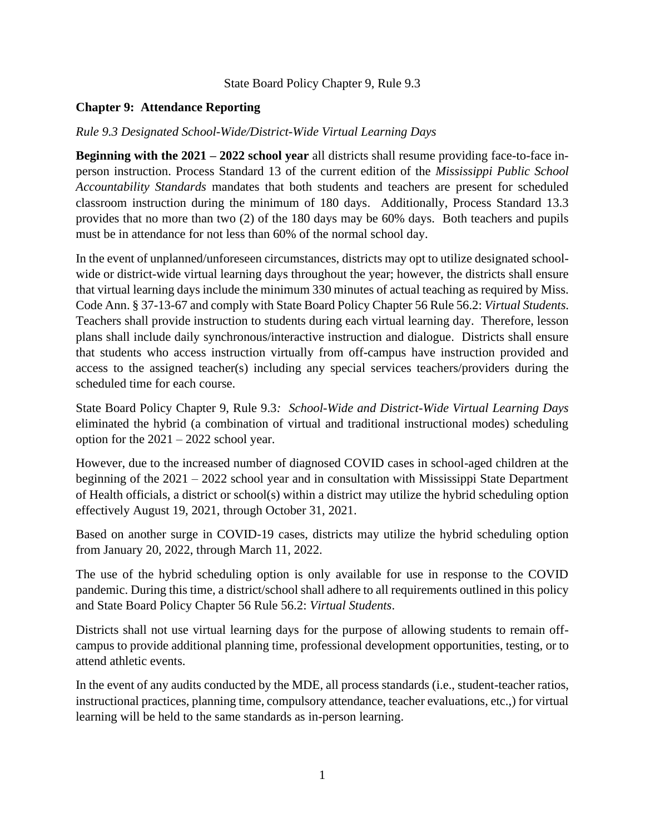## State Board Policy Chapter 9, Rule 9.3

## **Chapter 9: Attendance Reporting**

## *Rule 9.3 Designated School-Wide/District-Wide Virtual Learning Days*

**Beginning with the 2021 – 2022 school year** all districts shall resume providing face-to-face inperson instruction. Process Standard 13 of the current edition of the *Mississippi Public School Accountability Standards* mandates that both students and teachers are present for scheduled classroom instruction during the minimum of 180 days. Additionally, Process Standard 13.3 provides that no more than two (2) of the 180 days may be 60% days. Both teachers and pupils must be in attendance for not less than 60% of the normal school day.

In the event of unplanned/unforeseen circumstances, districts may opt to utilize designated schoolwide or district-wide virtual learning days throughout the year; however, the districts shall ensure that virtual learning days include the minimum 330 minutes of actual teaching as required by Miss. Code Ann. § 37-13-67 and comply with State Board Policy Chapter 56 Rule 56.2: *Virtual Students*. Teachers shall provide instruction to students during each virtual learning day. Therefore, lesson plans shall include daily synchronous/interactive instruction and dialogue. Districts shall ensure that students who access instruction virtually from off-campus have instruction provided and access to the assigned teacher(s) including any special services teachers/providers during the scheduled time for each course.

State Board Policy Chapter 9, Rule 9.3*: School-Wide and District-Wide Virtual Learning Days* eliminated the hybrid (a combination of virtual and traditional instructional modes) scheduling option for the 2021 – 2022 school year.

However, due to the increased number of diagnosed COVID cases in school-aged children at the beginning of the 2021 – 2022 school year and in consultation with Mississippi State Department of Health officials, a district or school(s) within a district may utilize the hybrid scheduling option effectively August 19, 2021, through October 31, 2021.

Based on another surge in COVID-19 cases, districts may utilize the hybrid scheduling option from January 20, 2022, through March 11, 2022.

The use of the hybrid scheduling option is only available for use in response to the COVID pandemic. During this time, a district/school shall adhere to all requirements outlined in this policy and State Board Policy Chapter 56 Rule 56.2: *Virtual Students*.

Districts shall not use virtual learning days for the purpose of allowing students to remain offcampus to provide additional planning time, professional development opportunities, testing, or to attend athletic events.

In the event of any audits conducted by the MDE, all process standards (i.e., student-teacher ratios, instructional practices, planning time, compulsory attendance, teacher evaluations, etc.,) for virtual learning will be held to the same standards as in-person learning.